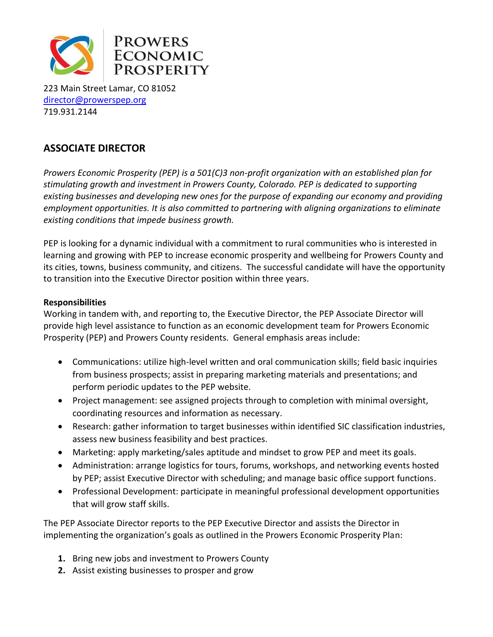

223 Main Street Lamar, CO 81052 [director@prowerspep.org](mailto:Director@prowerspep.org) 719.931.2144

# **ASSOCIATE DIRECTOR**

*Prowers Economic Prosperity (PEP) is a 501(C)3 non-profit organization with an established plan for stimulating growth and investment in Prowers County, Colorado. PEP is dedicated to supporting existing businesses and developing new ones for the purpose of expanding our economy and providing employment opportunities. It is also committed to partnering with aligning organizations to eliminate existing conditions that impede business growth.* 

PEP is looking for a dynamic individual with a commitment to rural communities who is interested in learning and growing with PEP to increase economic prosperity and wellbeing for Prowers County and its cities, towns, business community, and citizens. The successful candidate will have the opportunity to transition into the Executive Director position within three years.

## **Responsibilities**

Working in tandem with, and reporting to, the Executive Director, the PEP Associate Director will provide high level assistance to function as an economic development team for Prowers Economic Prosperity (PEP) and Prowers County residents. General emphasis areas include:

- Communications: utilize high-level written and oral communication skills; field basic inquiries from business prospects; assist in preparing marketing materials and presentations; and perform periodic updates to the PEP website.
- Project management: see assigned projects through to completion with minimal oversight, coordinating resources and information as necessary.
- Research: gather information to target businesses within identified SIC classification industries, assess new business feasibility and best practices.
- Marketing: apply marketing/sales aptitude and mindset to grow PEP and meet its goals.
- Administration: arrange logistics for tours, forums, workshops, and networking events hosted by PEP; assist Executive Director with scheduling; and manage basic office support functions.
- Professional Development: participate in meaningful professional development opportunities that will grow staff skills.

The PEP Associate Director reports to the PEP Executive Director and assists the Director in implementing the organization's goals as outlined in the Prowers Economic Prosperity Plan:

- **1.** Bring new jobs and investment to Prowers County
- **2.** Assist existing businesses to prosper and grow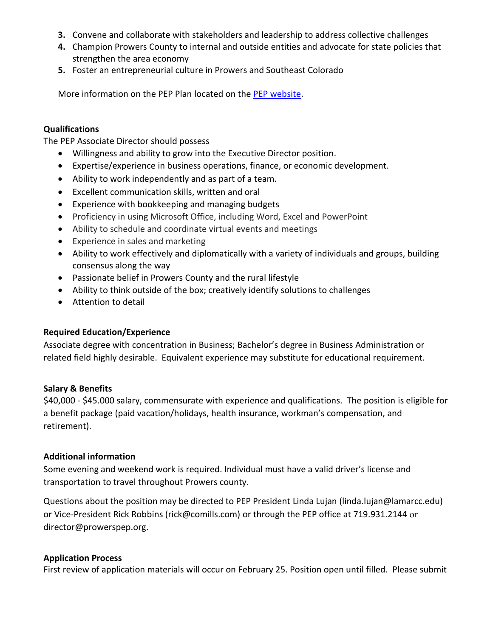- **3.** Convene and collaborate with stakeholders and leadership to address collective challenges
- **4.** Champion Prowers County to internal and outside entities and advocate for state policies that strengthen the area economy
- **5.** Foster an entrepreneurial culture in Prowers and Southeast Colorado

More information on the PEP Plan located on the [PEP website.](http://www.prowerspep.org/)

### **Qualifications**

The PEP Associate Director should possess

- Willingness and ability to grow into the Executive Director position.
- Expertise/experience in business operations, finance, or economic development.
- Ability to work independently and as part of a team.
- Excellent communication skills, written and oral
- Experience with bookkeeping and managing budgets
- Proficiency in using Microsoft Office, including Word, Excel and PowerPoint
- Ability to schedule and coordinate virtual events and meetings
- Experience in sales and marketing
- Ability to work effectively and diplomatically with a variety of individuals and groups, building consensus along the way
- Passionate belief in Prowers County and the rural lifestyle
- Ability to think outside of the box; creatively identify solutions to challenges
- Attention to detail

#### **Required Education/Experience**

Associate degree with concentration in Business; Bachelor's degree in Business Administration or related field highly desirable. Equivalent experience may substitute for educational requirement.

#### **Salary & Benefits**

\$40,000 - \$45.000 salary, commensurate with experience and qualifications. The position is eligible for a benefit package (paid vacation/holidays, health insurance, workman's compensation, and retirement).

#### **Additional information**

Some evening and weekend work is required. Individual must have a valid driver's license and transportation to travel throughout Prowers county.

Questions about the position may be directed to PEP President Linda Lujan (linda.lujan@lamarcc.edu) or Vice-President Rick Robbins (rick@comills.com) or through the PEP office at 719.931.2144 or director@prowerspep.org.

#### **Application Process**

First review of application materials will occur on February 25. Position open until filled. Please submit